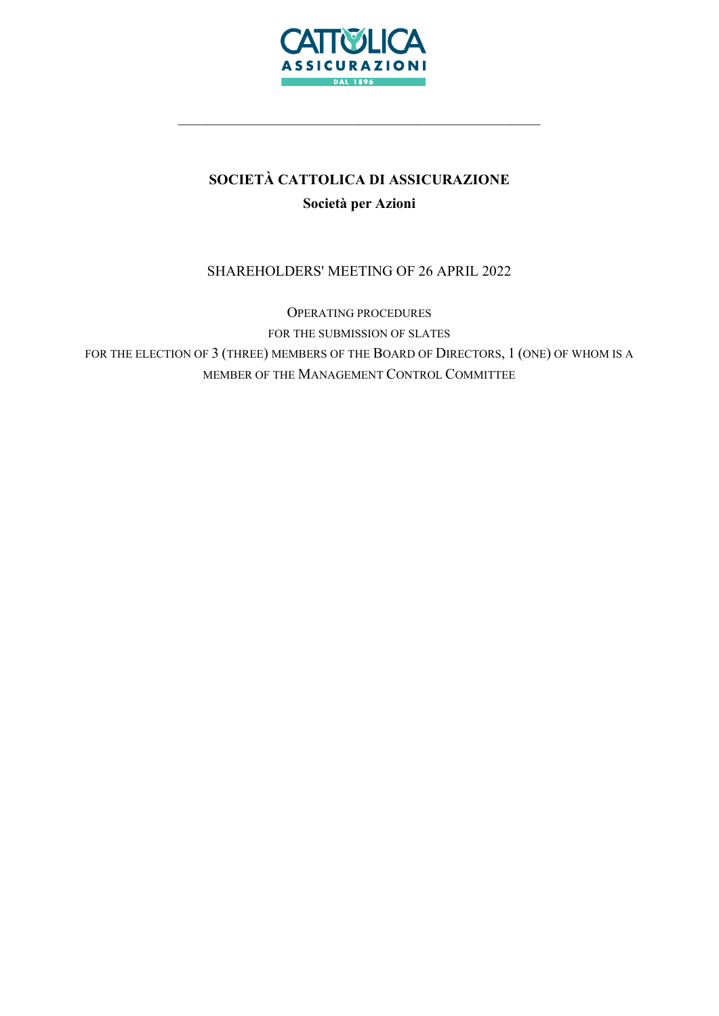

# SOCIETÀ CATTOLICA DI ASSICURAZIONE Società per Azioni

\_\_\_\_\_\_\_\_\_\_\_\_\_\_\_\_\_\_\_\_\_\_\_\_\_\_\_\_\_\_\_\_\_\_\_\_\_\_\_\_\_\_\_\_\_\_\_\_\_\_

# SHAREHOLDERS' MEETING OF 26 APRIL 2022

OPERATING PROCEDURES FOR THE SUBMISSION OF SLATES FOR THE ELECTION OF 3 (THREE) MEMBERS OF THE BOARD OF DIRECTORS, 1 (ONE) OF WHOM IS A MEMBER OF THE MANAGEMENT CONTROL COMMITTEE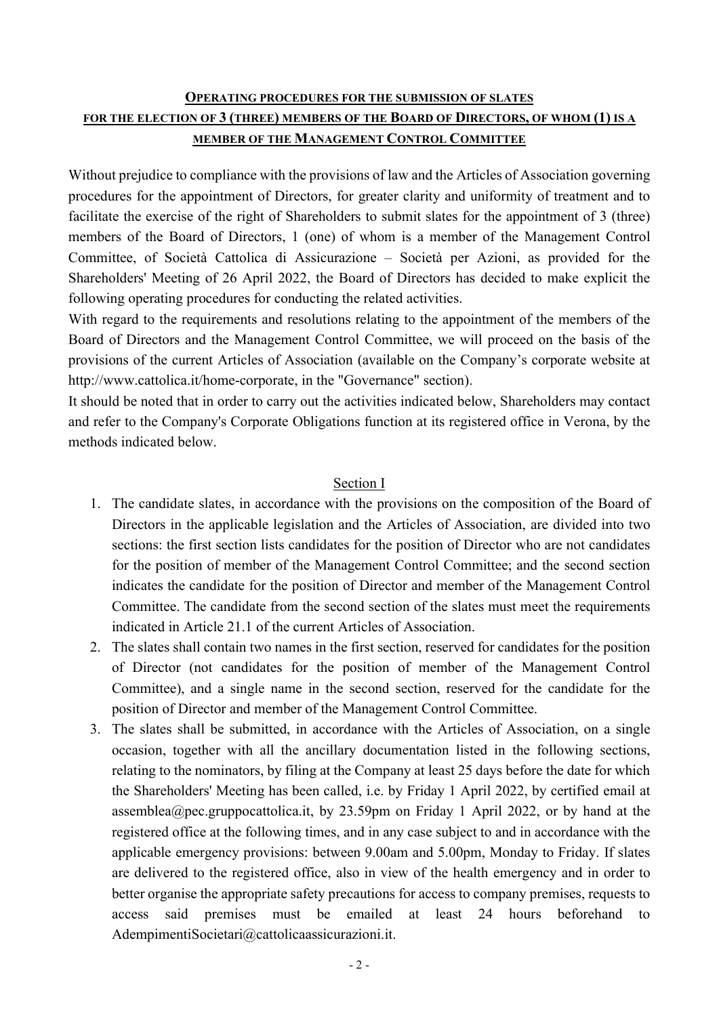# OPERATING PROCEDURES FOR THE SUBMISSION OF SLATES FOR THE ELECTION OF 3 (THREE) MEMBERS OF THE BOARD OF DIRECTORS, OF WHOM (1) IS A MEMBER OF THE MANAGEMENT CONTROL COMMITTEE

Without prejudice to compliance with the provisions of law and the Articles of Association governing procedures for the appointment of Directors, for greater clarity and uniformity of treatment and to facilitate the exercise of the right of Shareholders to submit slates for the appointment of 3 (three) members of the Board of Directors, 1 (one) of whom is a member of the Management Control Committee, of Società Cattolica di Assicurazione – Società per Azioni, as provided for the Shareholders' Meeting of 26 April 2022, the Board of Directors has decided to make explicit the following operating procedures for conducting the related activities.

With regard to the requirements and resolutions relating to the appointment of the members of the Board of Directors and the Management Control Committee, we will proceed on the basis of the provisions of the current Articles of Association (available on the Company's corporate website at http://www.cattolica.it/home-corporate, in the "Governance" section).

It should be noted that in order to carry out the activities indicated below, Shareholders may contact and refer to the Company's Corporate Obligations function at its registered office in Verona, by the methods indicated below.

# Section I

- 1. The candidate slates, in accordance with the provisions on the composition of the Board of Directors in the applicable legislation and the Articles of Association, are divided into two sections: the first section lists candidates for the position of Director who are not candidates for the position of member of the Management Control Committee; and the second section indicates the candidate for the position of Director and member of the Management Control Committee. The candidate from the second section of the slates must meet the requirements indicated in Article 21.1 of the current Articles of Association.
- 2. The slates shall contain two names in the first section, reserved for candidates for the position of Director (not candidates for the position of member of the Management Control Committee), and a single name in the second section, reserved for the candidate for the position of Director and member of the Management Control Committee.
- 3. The slates shall be submitted, in accordance with the Articles of Association, on a single occasion, together with all the ancillary documentation listed in the following sections, relating to the nominators, by filing at the Company at least 25 days before the date for which the Shareholders' Meeting has been called, i.e. by Friday 1 April 2022, by certified email at assemblea@pec.gruppocattolica.it, by 23.59pm on Friday 1 April 2022, or by hand at the registered office at the following times, and in any case subject to and in accordance with the applicable emergency provisions: between 9.00am and 5.00pm, Monday to Friday. If slates are delivered to the registered office, also in view of the health emergency and in order to better organise the appropriate safety precautions for access to company premises, requests to access said premises must be emailed at least 24 hours beforehand to AdempimentiSocietari@cattolicaassicurazioni.it.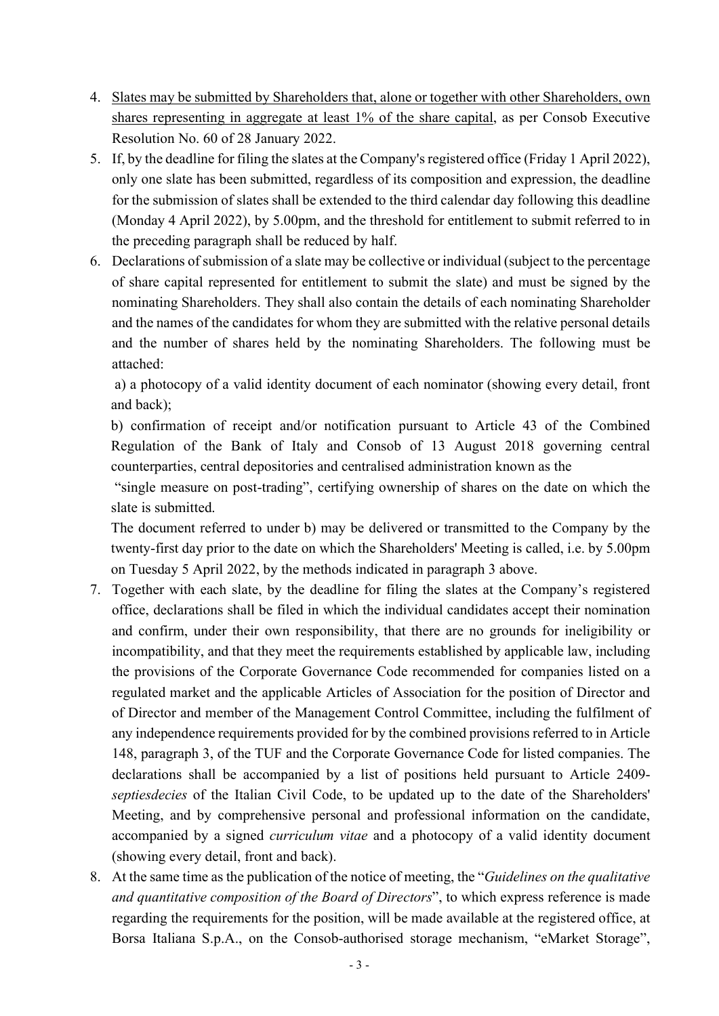- 4. Slates may be submitted by Shareholders that, alone or together with other Shareholders, own shares representing in aggregate at least 1% of the share capital, as per Consob Executive Resolution No. 60 of 28 January 2022.
- 5. If, by the deadline for filing the slates at the Company's registered office (Friday 1 April 2022), only one slate has been submitted, regardless of its composition and expression, the deadline for the submission of slates shall be extended to the third calendar day following this deadline (Monday 4 April 2022), by 5.00pm, and the threshold for entitlement to submit referred to in the preceding paragraph shall be reduced by half.
- 6. Declarations of submission of a slate may be collective or individual (subject to the percentage of share capital represented for entitlement to submit the slate) and must be signed by the nominating Shareholders. They shall also contain the details of each nominating Shareholder and the names of the candidates for whom they are submitted with the relative personal details and the number of shares held by the nominating Shareholders. The following must be attached:

a) a photocopy of a valid identity document of each nominator (showing every detail, front and back);

b) confirmation of receipt and/or notification pursuant to Article 43 of the Combined Regulation of the Bank of Italy and Consob of 13 August 2018 governing central counterparties, central depositories and centralised administration known as the

 "single measure on post-trading", certifying ownership of shares on the date on which the slate is submitted.

The document referred to under b) may be delivered or transmitted to the Company by the twenty-first day prior to the date on which the Shareholders' Meeting is called, i.e. by 5.00pm on Tuesday 5 April 2022, by the methods indicated in paragraph 3 above.

- 7. Together with each slate, by the deadline for filing the slates at the Company's registered office, declarations shall be filed in which the individual candidates accept their nomination and confirm, under their own responsibility, that there are no grounds for ineligibility or incompatibility, and that they meet the requirements established by applicable law, including the provisions of the Corporate Governance Code recommended for companies listed on a regulated market and the applicable Articles of Association for the position of Director and of Director and member of the Management Control Committee, including the fulfilment of any independence requirements provided for by the combined provisions referred to in Article 148, paragraph 3, of the TUF and the Corporate Governance Code for listed companies. The declarations shall be accompanied by a list of positions held pursuant to Article 2409 septiesdecies of the Italian Civil Code, to be updated up to the date of the Shareholders' Meeting, and by comprehensive personal and professional information on the candidate, accompanied by a signed curriculum vitae and a photocopy of a valid identity document (showing every detail, front and back).
- 8. At the same time as the publication of the notice of meeting, the "Guidelines on the qualitative and quantitative composition of the Board of Directors", to which express reference is made regarding the requirements for the position, will be made available at the registered office, at Borsa Italiana S.p.A., on the Consob-authorised storage mechanism, "eMarket Storage",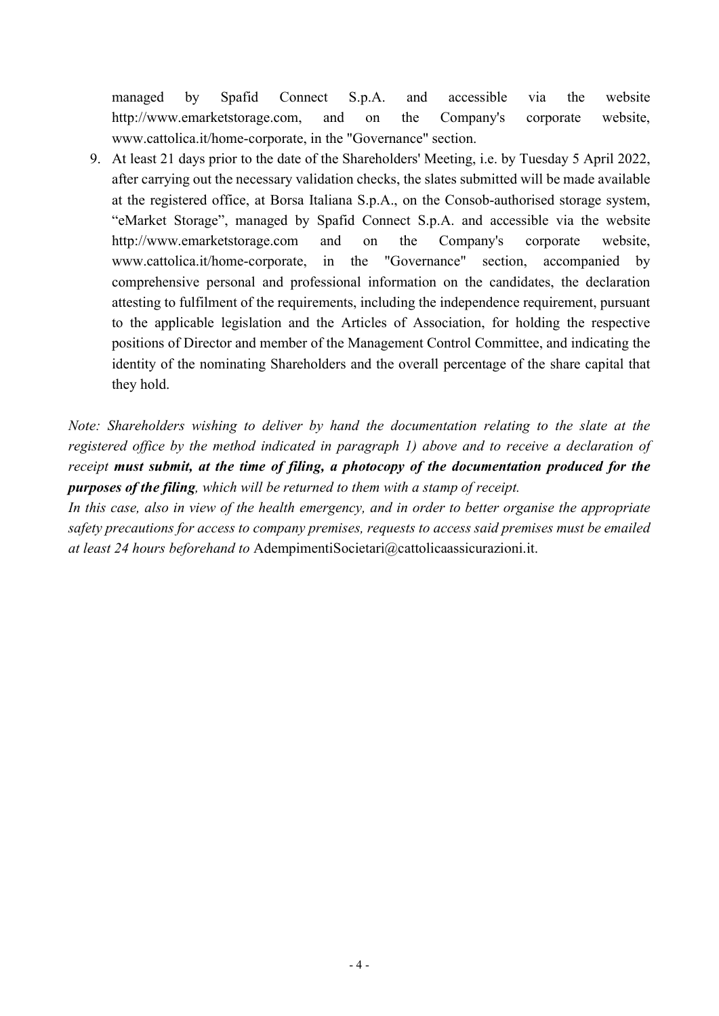managed by Spafid Connect S.p.A. and accessible via the website http://www.emarketstorage.com, and on the Company's corporate website, www.cattolica.it/home-corporate, in the "Governance" section.

9. At least 21 days prior to the date of the Shareholders' Meeting, i.e. by Tuesday 5 April 2022, after carrying out the necessary validation checks, the slates submitted will be made available at the registered office, at Borsa Italiana S.p.A., on the Consob-authorised storage system, "eMarket Storage", managed by Spafid Connect S.p.A. and accessible via the website http://www.emarketstorage.com and on the Company's corporate website, www.cattolica.it/home-corporate, in the "Governance" section, accompanied by comprehensive personal and professional information on the candidates, the declaration attesting to fulfilment of the requirements, including the independence requirement, pursuant to the applicable legislation and the Articles of Association, for holding the respective positions of Director and member of the Management Control Committee, and indicating the identity of the nominating Shareholders and the overall percentage of the share capital that they hold.

Note: Shareholders wishing to deliver by hand the documentation relating to the slate at the registered office by the method indicated in paragraph 1) above and to receive a declaration of receipt must submit, at the time of filing, a photocopy of the documentation produced for the purposes of the filing, which will be returned to them with a stamp of receipt.

In this case, also in view of the health emergency, and in order to better organise the appropriate safety precautions for access to company premises, requests to access said premises must be emailed at least 24 hours beforehand to AdempimentiSocietari@cattolicaassicurazioni.it.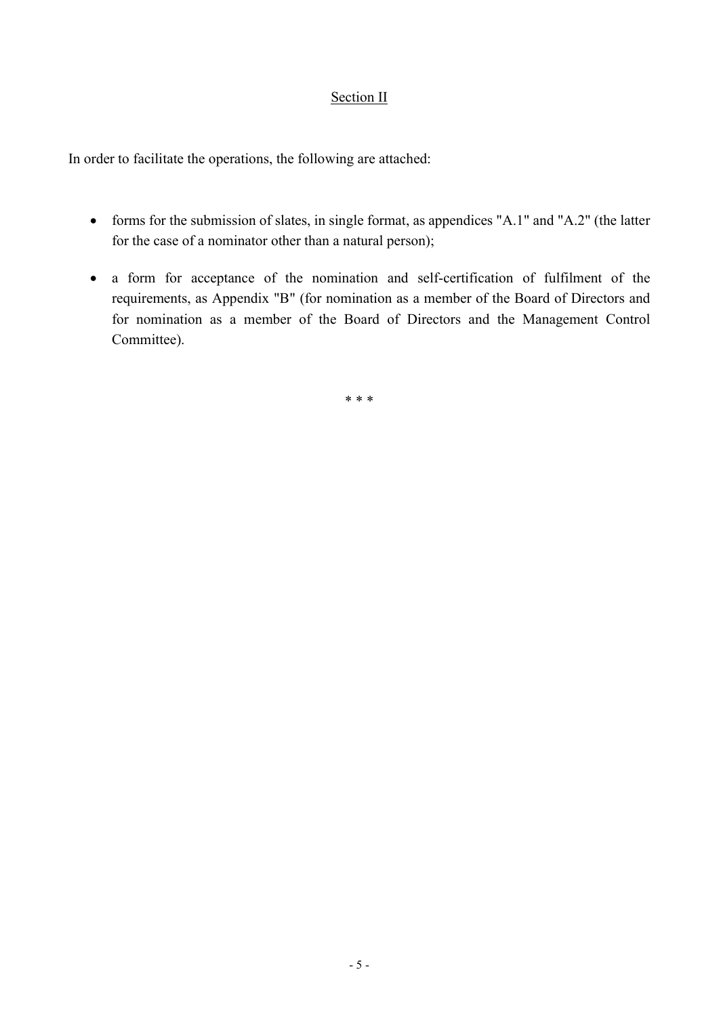## Section II

In order to facilitate the operations, the following are attached:

- forms for the submission of slates, in single format, as appendices "A.1" and "A.2" (the latter for the case of a nominator other than a natural person);
- a form for acceptance of the nomination and self-certification of fulfilment of the requirements, as Appendix "B" (for nomination as a member of the Board of Directors and for nomination as a member of the Board of Directors and the Management Control Committee).

\* \* \*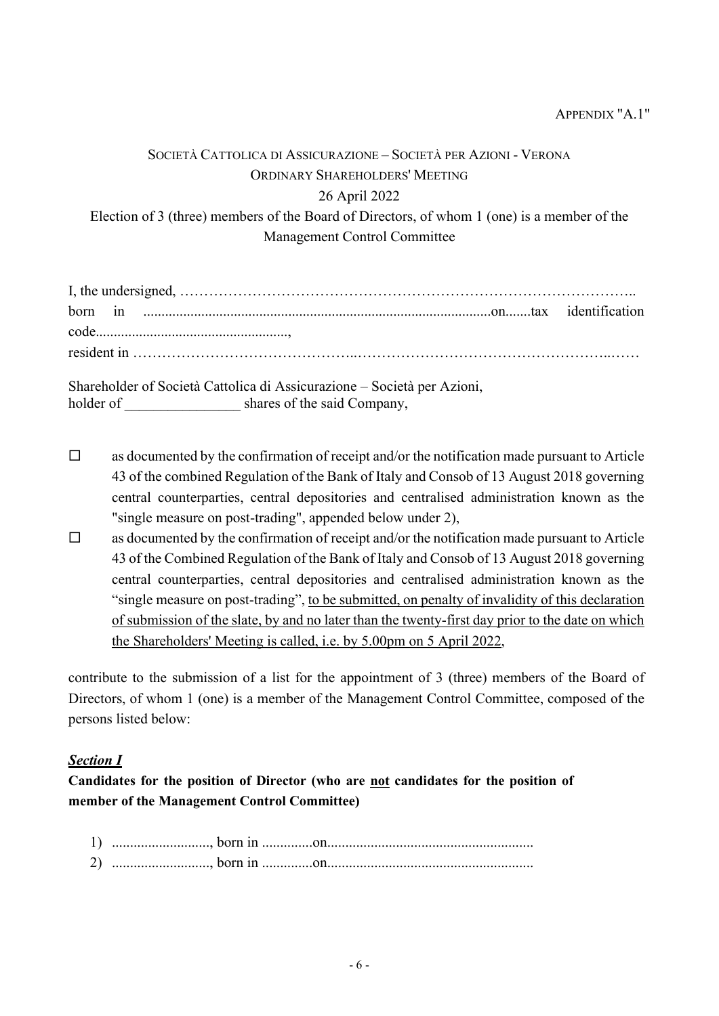# SOCIETÀ CATTOLICA DI ASSICURAZIONE – SOCIETÀ PER AZIONI - VERONA ORDINARY SHAREHOLDERS' MEETING 26 April 2022 Election of 3 (three) members of the Board of Directors, of whom 1 (one) is a member of the Management Control Committee

Shareholder of Società Cattolica di Assicurazione – Società per Azioni, holder of shares of the said Company,

- $\Box$  as documented by the confirmation of receipt and/or the notification made pursuant to Article 43 of the combined Regulation of the Bank of Italy and Consob of 13 August 2018 governing central counterparties, central depositories and centralised administration known as the "single measure on post-trading", appended below under 2),
- $\Box$  as documented by the confirmation of receipt and/or the notification made pursuant to Article 43 of the Combined Regulation of the Bank of Italy and Consob of 13 August 2018 governing central counterparties, central depositories and centralised administration known as the "single measure on post-trading", to be submitted, on penalty of invalidity of this declaration of submission of the slate, by and no later than the twenty-first day prior to the date on which the Shareholders' Meeting is called, i.e. by 5.00pm on 5 April 2022,

contribute to the submission of a list for the appointment of 3 (three) members of the Board of Directors, of whom 1 (one) is a member of the Management Control Committee, composed of the persons listed below:

# Section I

Candidates for the position of Director (who are not candidates for the position of member of the Management Control Committee)

1) ..........................., born in ..............on......................................................... 2) ..........................., born in ..............on.........................................................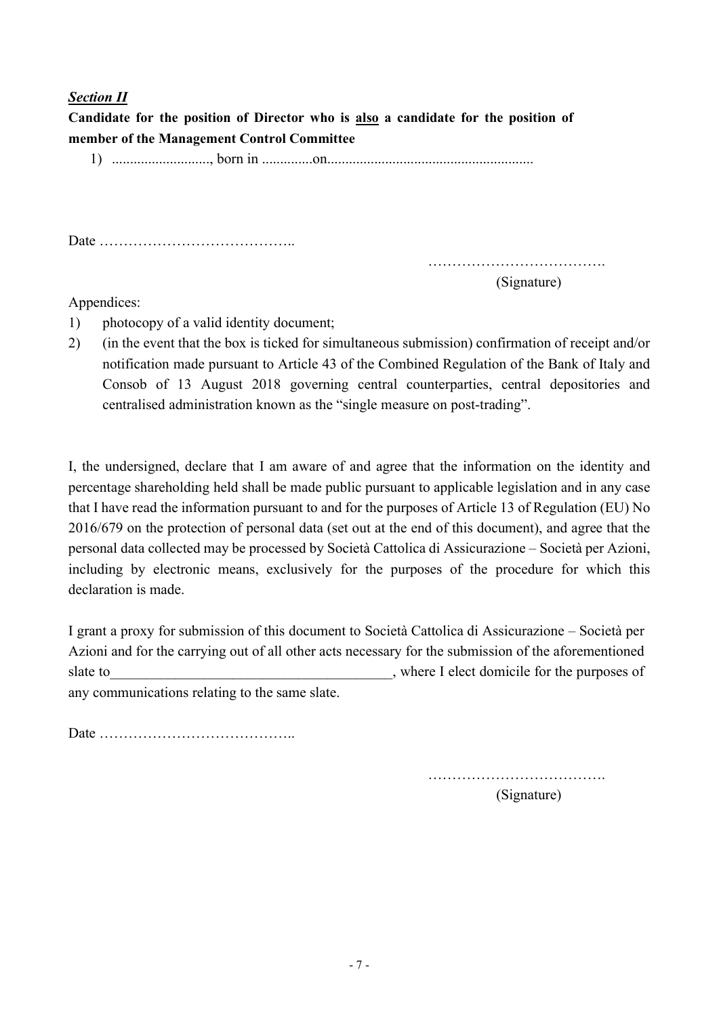## **Section II**

Candidate for the position of Director who is also a candidate for the position of member of the Management Control Committee

1) ..........................., born in ..............on.........................................................

Date …………………………………..

……………………………….

(Signature)

#### Appendices:

- 1) photocopy of a valid identity document;
- 2) (in the event that the box is ticked for simultaneous submission) confirmation of receipt and/or notification made pursuant to Article 43 of the Combined Regulation of the Bank of Italy and Consob of 13 August 2018 governing central counterparties, central depositories and centralised administration known as the "single measure on post-trading".

I, the undersigned, declare that I am aware of and agree that the information on the identity and percentage shareholding held shall be made public pursuant to applicable legislation and in any case that I have read the information pursuant to and for the purposes of Article 13 of Regulation (EU) No 2016/679 on the protection of personal data (set out at the end of this document), and agree that the personal data collected may be processed by Società Cattolica di Assicurazione – Società per Azioni, including by electronic means, exclusively for the purposes of the procedure for which this declaration is made.

I grant a proxy for submission of this document to Società Cattolica di Assicurazione – Società per Azioni and for the carrying out of all other acts necessary for the submission of the aforementioned slate to subset of the purposes of slate to subset of the purposes of  $\mathcal{L}$ , where I elect domicile for the purposes of any communications relating to the same slate.

Date …………………………………..

……………………………….

(Signature)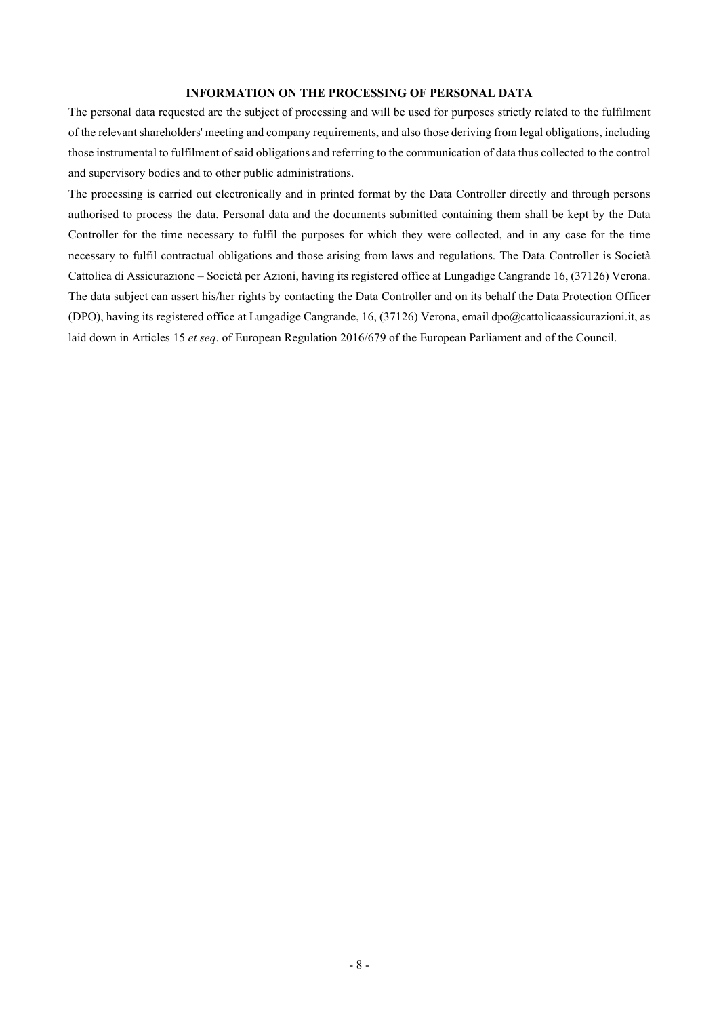#### INFORMATION ON THE PROCESSING OF PERSONAL DATA

The personal data requested are the subject of processing and will be used for purposes strictly related to the fulfilment of the relevant shareholders' meeting and company requirements, and also those deriving from legal obligations, including those instrumental to fulfilment of said obligations and referring to the communication of data thus collected to the control and supervisory bodies and to other public administrations.

The processing is carried out electronically and in printed format by the Data Controller directly and through persons authorised to process the data. Personal data and the documents submitted containing them shall be kept by the Data Controller for the time necessary to fulfil the purposes for which they were collected, and in any case for the time necessary to fulfil contractual obligations and those arising from laws and regulations. The Data Controller is Società Cattolica di Assicurazione – Società per Azioni, having its registered office at Lungadige Cangrande 16, (37126) Verona. The data subject can assert his/her rights by contacting the Data Controller and on its behalf the Data Protection Officer (DPO), having its registered office at Lungadige Cangrande, 16, (37126) Verona, email dpo@cattolicaassicurazioni.it, as laid down in Articles 15 et seq. of European Regulation 2016/679 of the European Parliament and of the Council.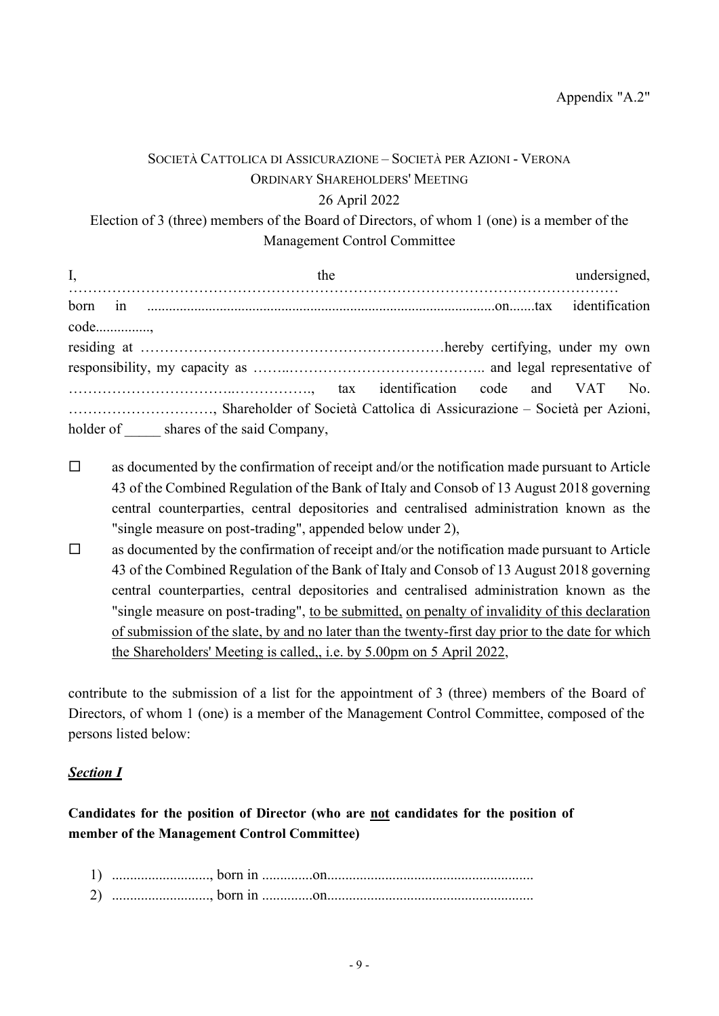# SOCIETÀ CATTOLICA DI ASSICURAZIONE – SOCIETÀ PER AZIONI - VERONA ORDINARY SHAREHOLDERS' MEETING 26 April 2022 Election of 3 (three) members of the Board of Directors, of whom 1 (one) is a member of the Management Control Committee

| I,                                                                        |  | the<br>$I,$ the undersi               |  |  |  |  | undersigned, |  |
|---------------------------------------------------------------------------|--|---------------------------------------|--|--|--|--|--------------|--|
|                                                                           |  |                                       |  |  |  |  |              |  |
|                                                                           |  |                                       |  |  |  |  |              |  |
|                                                                           |  |                                       |  |  |  |  |              |  |
|                                                                           |  |                                       |  |  |  |  |              |  |
|                                                                           |  |                                       |  |  |  |  |              |  |
| , Shareholder of Società Cattolica di Assicurazione – Società per Azioni, |  |                                       |  |  |  |  |              |  |
|                                                                           |  | holder of shares of the said Company, |  |  |  |  |              |  |

- $\Box$  as documented by the confirmation of receipt and/or the notification made pursuant to Article 43 of the Combined Regulation of the Bank of Italy and Consob of 13 August 2018 governing central counterparties, central depositories and centralised administration known as the "single measure on post-trading", appended below under 2),
- $\Box$  as documented by the confirmation of receipt and/or the notification made pursuant to Article 43 of the Combined Regulation of the Bank of Italy and Consob of 13 August 2018 governing central counterparties, central depositories and centralised administration known as the "single measure on post-trading", to be submitted, on penalty of invalidity of this declaration of submission of the slate, by and no later than the twenty-first day prior to the date for which the Shareholders' Meeting is called,, i.e. by 5.00pm on 5 April 2022,

contribute to the submission of a list for the appointment of 3 (three) members of the Board of Directors, of whom 1 (one) is a member of the Management Control Committee, composed of the persons listed below:

## Section I

Candidates for the position of Director (who are not candidates for the position of member of the Management Control Committee)

| 1)             |  |
|----------------|--|
| $\overline{2}$ |  |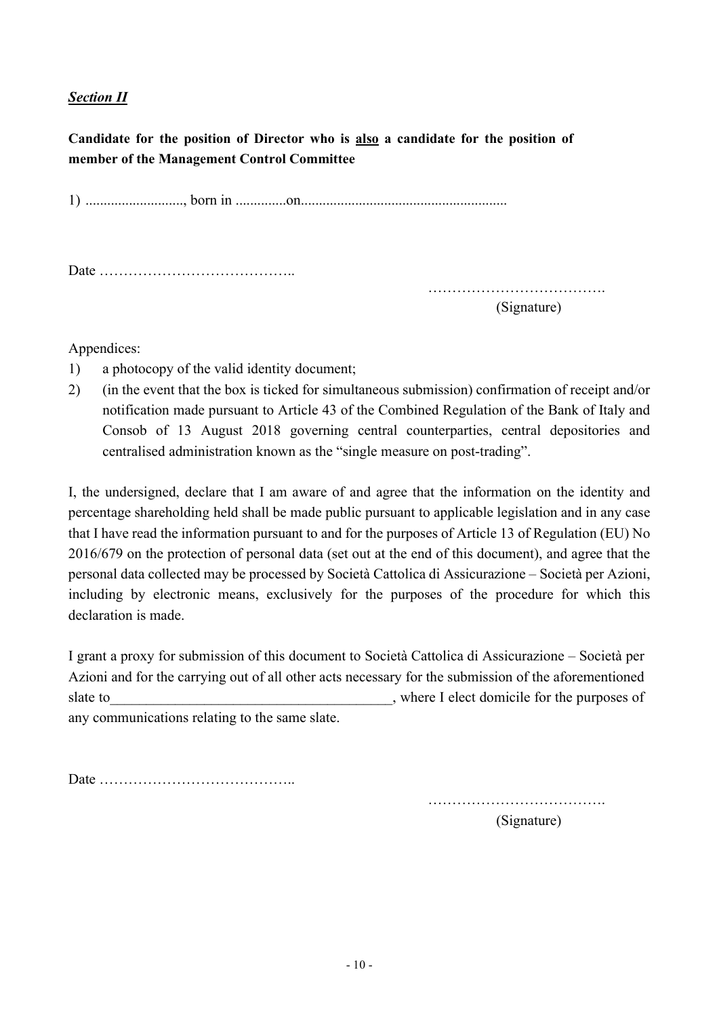## **Section II**

Candidate for the position of Director who is also a candidate for the position of member of the Management Control Committee

1) ..........................., born in ..............on.........................................................

Date …………………………………..

………………………………. (Signature)

Appendices:

- 1) a photocopy of the valid identity document;
- 2) (in the event that the box is ticked for simultaneous submission) confirmation of receipt and/or notification made pursuant to Article 43 of the Combined Regulation of the Bank of Italy and Consob of 13 August 2018 governing central counterparties, central depositories and centralised administration known as the "single measure on post-trading".

I, the undersigned, declare that I am aware of and agree that the information on the identity and percentage shareholding held shall be made public pursuant to applicable legislation and in any case that I have read the information pursuant to and for the purposes of Article 13 of Regulation (EU) No 2016/679 on the protection of personal data (set out at the end of this document), and agree that the personal data collected may be processed by Società Cattolica di Assicurazione – Società per Azioni, including by electronic means, exclusively for the purposes of the procedure for which this declaration is made.

I grant a proxy for submission of this document to Società Cattolica di Assicurazione – Società per Azioni and for the carrying out of all other acts necessary for the submission of the aforementioned slate to subset of the purposes of  $\Box$ any communications relating to the same slate.

Date …………………………………..

……………………………….

(Signature)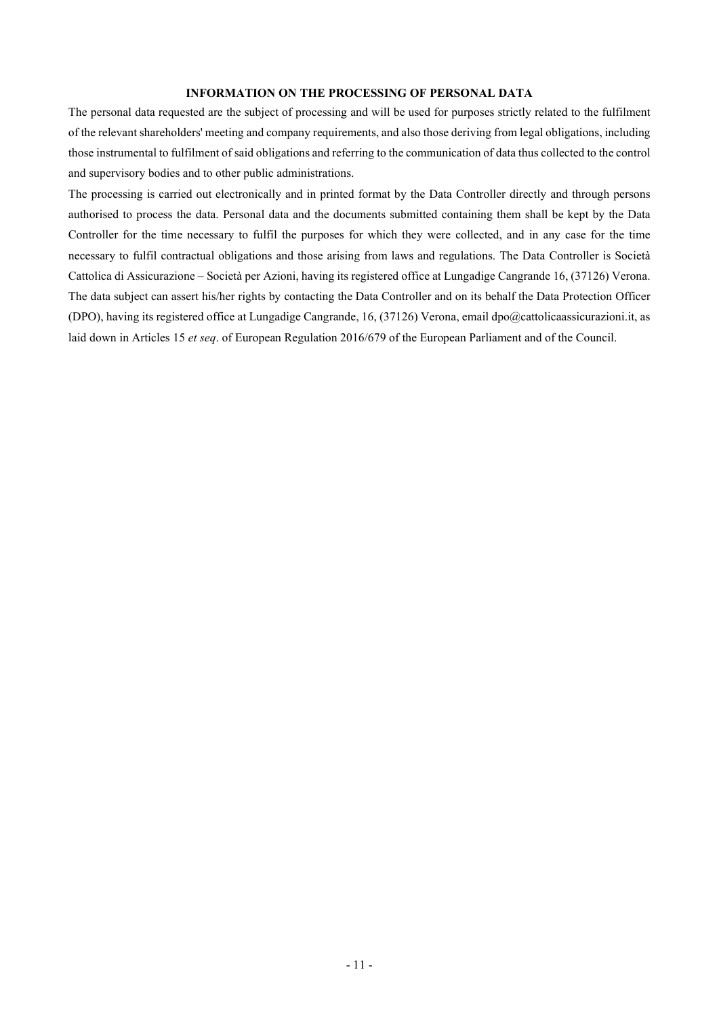#### INFORMATION ON THE PROCESSING OF PERSONAL DATA

The personal data requested are the subject of processing and will be used for purposes strictly related to the fulfilment of the relevant shareholders' meeting and company requirements, and also those deriving from legal obligations, including those instrumental to fulfilment of said obligations and referring to the communication of data thus collected to the control and supervisory bodies and to other public administrations.

The processing is carried out electronically and in printed format by the Data Controller directly and through persons authorised to process the data. Personal data and the documents submitted containing them shall be kept by the Data Controller for the time necessary to fulfil the purposes for which they were collected, and in any case for the time necessary to fulfil contractual obligations and those arising from laws and regulations. The Data Controller is Società Cattolica di Assicurazione – Società per Azioni, having its registered office at Lungadige Cangrande 16, (37126) Verona. The data subject can assert his/her rights by contacting the Data Controller and on its behalf the Data Protection Officer (DPO), having its registered office at Lungadige Cangrande, 16, (37126) Verona, email dpo@cattolicaassicurazioni.it, as laid down in Articles 15 et seq. of European Regulation 2016/679 of the European Parliament and of the Council.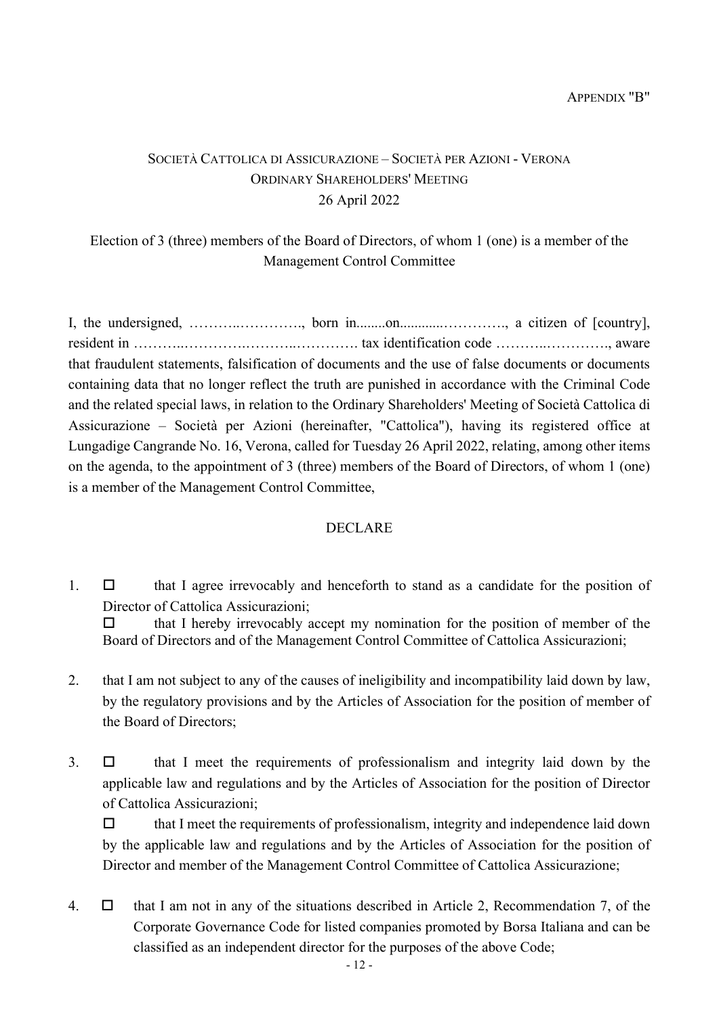# SOCIETÀ CATTOLICA DI ASSICURAZIONE – SOCIETÀ PER AZIONI - VERONA ORDINARY SHAREHOLDERS' MEETING 26 April 2022

# Election of 3 (three) members of the Board of Directors, of whom 1 (one) is a member of the Management Control Committee

I, the undersigned, ………..…………., born in........on............…………., a citizen of [country], resident in ………..………….………..…………. tax identification code ………..…………., aware that fraudulent statements, falsification of documents and the use of false documents or documents containing data that no longer reflect the truth are punished in accordance with the Criminal Code and the related special laws, in relation to the Ordinary Shareholders' Meeting of Società Cattolica di Assicurazione – Società per Azioni (hereinafter, "Cattolica"), having its registered office at Lungadige Cangrande No. 16, Verona, called for Tuesday 26 April 2022, relating, among other items on the agenda, to the appointment of 3 (three) members of the Board of Directors, of whom 1 (one) is a member of the Management Control Committee,

## DECLARE

1.  $\Box$  that I agree irrevocably and henceforth to stand as a candidate for the position of Director of Cattolica Assicurazioni;

 $\Box$  that I hereby irrevocably accept my nomination for the position of member of the Board of Directors and of the Management Control Committee of Cattolica Assicurazioni;

- 2. that I am not subject to any of the causes of ineligibility and incompatibility laid down by law, by the regulatory provisions and by the Articles of Association for the position of member of the Board of Directors;
- $3. \Box$  that I meet the requirements of professionalism and integrity laid down by the applicable law and regulations and by the Articles of Association for the position of Director of Cattolica Assicurazioni;

 $\Box$  that I meet the requirements of professionalism, integrity and independence laid down by the applicable law and regulations and by the Articles of Association for the position of Director and member of the Management Control Committee of Cattolica Assicurazione;

4.  $\Box$  that I am not in any of the situations described in Article 2, Recommendation 7, of the Corporate Governance Code for listed companies promoted by Borsa Italiana and can be classified as an independent director for the purposes of the above Code;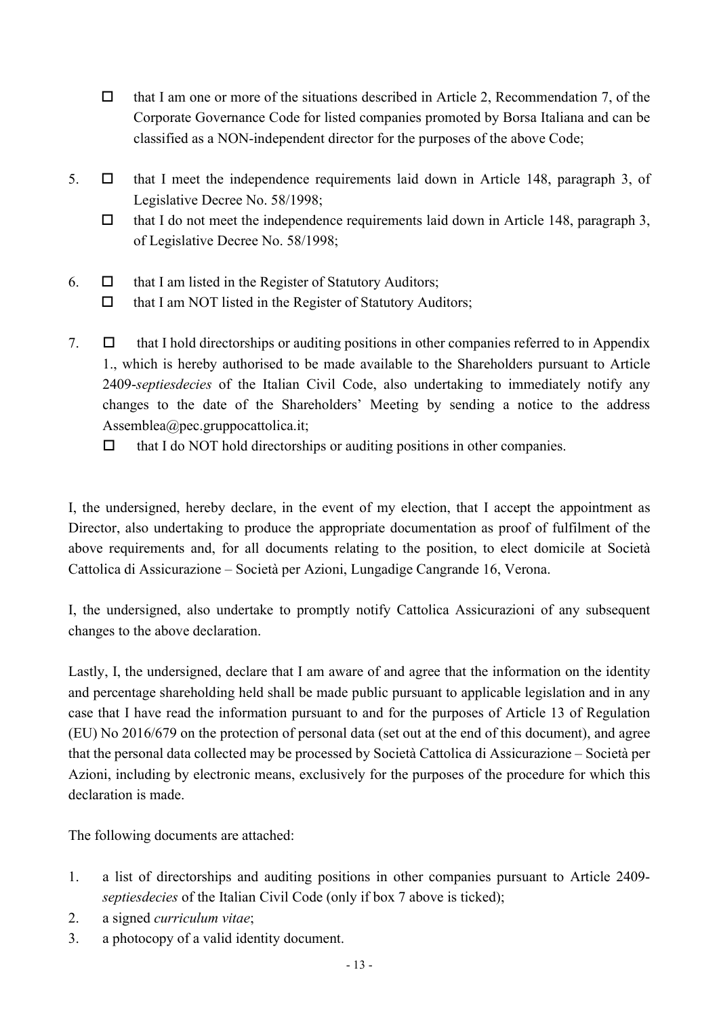- $\Box$  that I am one or more of the situations described in Article 2, Recommendation 7, of the Corporate Governance Code for listed companies promoted by Borsa Italiana and can be classified as a NON-independent director for the purposes of the above Code;
- 5.  $\Box$  that I meet the independence requirements laid down in Article 148, paragraph 3, of Legislative Decree No. 58/1998;
	- $\Box$  that I do not meet the independence requirements laid down in Article 148, paragraph 3, of Legislative Decree No. 58/1998;
- 6.  $\Box$  that I am listed in the Register of Statutory Auditors;  $\Box$  that I am NOT listed in the Register of Statutory Auditors;
- 7.  $\Box$  that I hold directorships or auditing positions in other companies referred to in Appendix 1., which is hereby authorised to be made available to the Shareholders pursuant to Article 2409-septiesdecies of the Italian Civil Code, also undertaking to immediately notify any changes to the date of the Shareholders' Meeting by sending a notice to the address Assemblea@pec.gruppocattolica.it;
	- $\Box$  that I do NOT hold directorships or auditing positions in other companies.

I, the undersigned, hereby declare, in the event of my election, that I accept the appointment as Director, also undertaking to produce the appropriate documentation as proof of fulfilment of the above requirements and, for all documents relating to the position, to elect domicile at Società Cattolica di Assicurazione – Società per Azioni, Lungadige Cangrande 16, Verona.

I, the undersigned, also undertake to promptly notify Cattolica Assicurazioni of any subsequent changes to the above declaration.

Lastly, I, the undersigned, declare that I am aware of and agree that the information on the identity and percentage shareholding held shall be made public pursuant to applicable legislation and in any case that I have read the information pursuant to and for the purposes of Article 13 of Regulation (EU) No 2016/679 on the protection of personal data (set out at the end of this document), and agree that the personal data collected may be processed by Società Cattolica di Assicurazione – Società per Azioni, including by electronic means, exclusively for the purposes of the procedure for which this declaration is made.

The following documents are attached:

- 1. a list of directorships and auditing positions in other companies pursuant to Article 2409 septiesdecies of the Italian Civil Code (only if box 7 above is ticked);
- 2. a signed curriculum vitae;
- 3. a photocopy of a valid identity document.